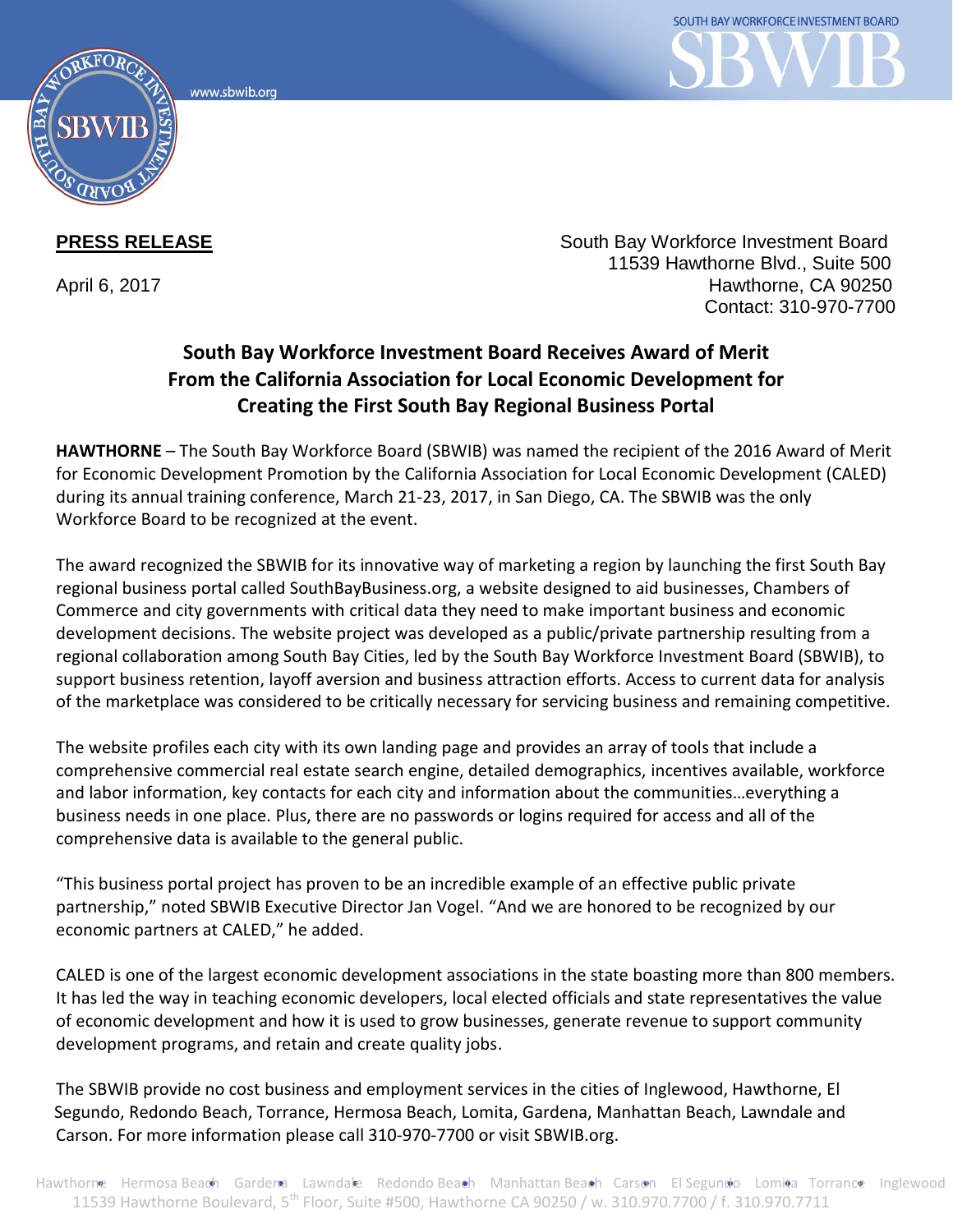www.sbwib.ord



**PRESS RELEASE South Bay Workforce Investment Board PRESS RELEASE**  11539 Hawthorne Blvd., Suite 500 April 6, 2017 **Hawthorne, CA 90250** Contact: 310-970-7700

## **South Bay Workforce Investment Board Receives Award of Merit From the California Association for Local Economic Development for Creating the First South Bay Regional Business Portal**

**HAWTHORNE** – The South Bay Workforce Board (SBWIB) was named the recipient of the 2016 Award of Merit for Economic Development Promotion by the California Association for Local Economic Development (CALED) during its annual training conference, March 21-23, 2017, in San Diego, CA. The SBWIB was the only Workforce Board to be recognized at the event.

The award recognized the SBWIB for its innovative way of marketing a region by launching the first South Bay regional business portal called SouthBayBusiness.org, a website designed to aid businesses, Chambers of Commerce and city governments with critical data they need to make important business and economic development decisions. The website project was developed as a public/private partnership resulting from a regional collaboration among South Bay Cities, led by the South Bay Workforce Investment Board (SBWIB), to support business retention, layoff aversion and business attraction efforts. Access to current data for analysis of the marketplace was considered to be critically necessary for servicing business and remaining competitive.

The website profiles each city with its own landing page and provides an array of tools that include a comprehensive commercial real estate search engine, detailed demographics, incentives available, workforce and labor information, key contacts for each city and information about the communities…everything a business needs in one place. Plus, there are no passwords or logins required for access and all of the comprehensive data is available to the general public.

"This business portal project has proven to be an incredible example of an effective public private partnership," noted SBWIB Executive Director Jan Vogel. "And we are honored to be recognized by our economic partners at CALED," he added.

CALED is one of the largest economic development associations in the state boasting more than 800 members. It has led the way in teaching economic developers, local elected officials and state representatives the value of economic development and how it is used to grow businesses, generate revenue to support community development programs, and retain and create quality jobs.

The SBWIB provide no cost business and employment services in the cities of Inglewood, Hawthorne, El Segundo, Redondo Beach, Torrance, Hermosa Beach, Lomita, Gardena, Manhattan Beach, Lawndale and Carson. For more information please call 310-970-7700 or visit SBWIB.org.